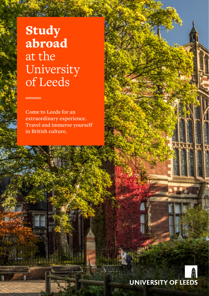# Study abroad at the University of Leeds

\_

**Come to Leeds for an extraordinary experience. Travel and immerse yourself in British culture.**

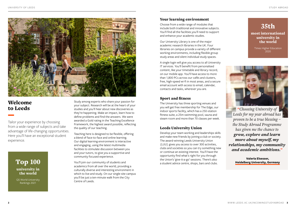

# Welcome to Leeds

Tailor your experience by choosing from a wide range of subjects and take advantage of life-changing opportunities. Here you'll have an exceptional student experience.

# Top 100 university in the world

QS World University Rankings 2021

Study among experts who share your passion for your subject. Research will be at the heart of your studies and you'll hear about new discoveries as they're happening. Make an impact, learn how to define problems and find the answers. We were awarded a Gold rating in the Teaching Excellence Framework, the highest award possible, reflecting the quality of our teaching.

Teaching here is designed to be flexible, offering a blend of face-to-face and online learning. Our digital learning environment is interactive and engaging, using the latest multimedia facilities to stimulate discussion between you and your tutors, to give you a supportive and community focused experience.

You'll join our community of students and academics from all over the world, providing a culturally diverse and interesting environment in which to live and study. On our single-site campus you'll be just a ten-minute walk from the City Centre of Leeds.

### Your learning environment

Choose from a wide range of modules that include both traditional and innovative subjects. You'll find all the facilities you'll need to support and enhance your academic studies.

Our University Library is one of the major academic research libraries in the UK. Four libraries on campus provide a variety of different working environments, including flexible group study areas and silent individual study spaces.

A single login will give you access to all University IT services. You'll benefit from personalised content, like your timetable and library record, on our mobile app. You'll have access to more than 1,800 PCs across our cafés and clusters, free, high-speed wi-fi in most areas, and a secure email account with access to email, calendar, contacts and tasks, wherever you are.

## Sport and fitness

The University has three sporting venues and you will get free membership for The Edge, our indoor sports facility, which has a 250-station fitness suite, a 25m swimming pool, sauna and steam room and more than 70 classes per week.

# Leeds University Union

Develop your team working and leaderships skills and make new friends by joining a club or society. The award-winning Leeds University Union (LUU) gives you access to over 300 activities, clubs and societies so you can try something new or continue an existing interest. You'll have the opportunity find what's right for you through the Union's 'give-it-a-go' sessions. There's also a student advice centre, shops, bars and clubs.

# 35th most international university in the world

Times Higher Education 2020



*"Choosing University of Leeds for my year abroad has proven to be a true blessing – the Study Abroad Programme has given me the chance to grow, explore and learn more about myself, my relationships, my community and academic ambitions."*

> **Valeria Elsesser, Heidelberg University, Germany**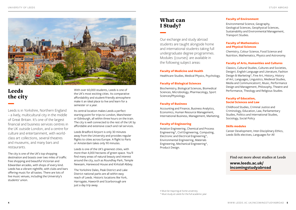

# Leeds the city

Leeds is in Yorkshire, Northern England – a lively, multicultural city in the middle of Great Britain. It's one of the largest financial and business services centres in the UK outside London, and a centre for culture and entertainment, with worldclass art collections, several theatres and museums, and many bars and restaurants.

The city is one of the UK's top shopping destination and boasts over two miles of traffic free shopping and beautiful Victorian and Edwardian arcades, with shops of every kind. Leeds has a vibrant nightlife, with clubs and bars offering music for all tastes. There are lots of live music venues, including the University's students' union.

With over 60,000 students, Leeds is one of the UK's most exciting cities. Its comparative affordability and student-friendly atmosphere make it an ideal place to live and learn for a semester or a year.

Its central location makes Leeds a perfect starting point for trips to London, Manchester or Edinburgh, all within three hours on the train. The city is well connected to the rest of the UK by affordable and extensive coach and rail services.

Leeds Bradford Airport is only 30 minutes away from the University and provides regular flights to cities across Europe. A flight to Paris or Amsterdam takes only 90 minutes.

Leeds is one of the UK's greenest cities, with more than 4,000 hectares of green space. You'll find many areas of natural beauty and interest around the city, such as Roundhay Park, Temple Newsam, Harewood House and Kirkstall Abbey.

The Yorkshire Dales, Peak District and Lake District national parks are all within easy reach of Leeds. Historic locations like York, Harrogate, Haworth and Scarborough are just a day trip away.

# What can I Study?

Our exchange and study abroad students are taught alongside home and international students taking full undergraduate degree programmes. Modules (courses) are available in the following subject areas:

#### **Faculty of Medicine and Health**

Healthcare Studies, Medical Physics, Psychology.

#### **Faculty of Biological Sciences**

Biochemistry, Biological Sciences, Biomedical Sciences, Microbiology, Pharmacology, Sport Sciences/Physiology.

#### **Faculty of Business**

Accounting and Finance, Business Analytics, Economics, Human Resource Management, International Business, Management, Marketing.

#### **Faculty of Engineering**

Aviation Engineering, Chemical and Process Engineering\*, Civil Engineering, Computing, Electronic and Electrical Engineering\*, Environmental Engineering, Materials Engineering, Mechanical Engineering\*, Product Design.

#### **Faculty of Environment**

Environmental Science, Geography, Geological Sciences, Geophysical Sciences, Sustainability and Environmental Management, Transport Studies.

#### **Faculty of Mathematics and Physical Sciences**

Chemistry, Colour Science, Food Science and Nutrition, Mathematics, Physics and Astronomy.

#### **Faculty of Arts, Humanities and Cultures**

Classics, Cultural Studies, Cultures and Societies, Design†, English Language and Literature, Fashion Design & Marketing\*, Fine Art, History, History of Art, Languages, Linguistics, Medieval Studies, Media and Communication†, Music, Performance Design and Management, Philosophy, Theatre and Performance, Theology and Religious Studies.

#### **Faculty of Education, Social Sciences and Law**

Childhood Studies, Criminal Justice and Criminology, Education, Law, Parliamentary Studies, Politics and International Studies, Sociology, Social Policy

#### **Skills modules**

Career Development, Inter-Disciplinary Ethics, Leeds Skills electives, Languages for All

**Find out more about studies at Leeds**

## **[www.leeds.ac.uk/](http://www.leeds.ac.uk/incomingstudyabroad) [incomingstudyabroad](http://www.leeds.ac.uk/incomingstudyabroad)**

† Must be majoring at home university

\* Must study at Leeds for the full academic year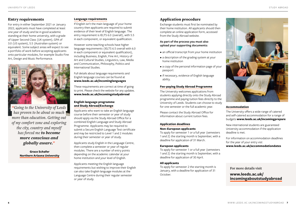### Entry requirements

For entry in either September 2021 or January 2022, applicants must have completed at least one year of study and be in good academic standing at their home university, with a grade of Upper Second Class (UK system), GPA of 3.0 (US system), 5.5 (Australian system) or equivalent. Some subject areas will expect to see a portfolio of work before accepting applicants onto particular modules, for example Studio Fine Art, Design and Music Performance.



*"Going to the University of Leeds has proven to be about so much more than education. Getting out of my comfort zone and exploring the city, country and myself has forced me to become more conscious and globally aware."*

> **Grace Schafer Northern Arizona University**

#### **Language requirements**

If English isn't the main language of your home country then applicants are required to submit evidence of their level of English language. The entry requirement is IELTS 6.0 (overall), with 5.5 in each component, or equivalent qualification.

However some teaching schools have higher language requirements (IELTS 6.5 overall with 6.0 in each component or equivalent qualification), including Business, English, Fine Art, History of Art and Cultural Studies, Linguistics, Law, Media and Communication, Philosophy, Politics and International Studies.

Full details about language requirements and English language courses can be found at **[www.leeds.ac.uk/incominglanguages](http://www.leeds.ac.uk/incominglanguages)**

These requirements are correct at time of going to print. Please check the website for any updates. **[www.leeds.ac.uk/incomingstudyabroad](http://www.leeds.ac.uk/incomingstudyabroad)**

### **English language programme and Study Abroad/Exchange**

Applicants who want to take an English language course before their semester or year of study should apply via the Study Abroad Office for a combined English Language and Study Abroad Programme. Applicants may be required to submit a Secure English Language Test certificate and may be restricted to Level 1 and 2 modules during their semester or year of study.

Applicants study English in the Language Centre, then complete a semester or year of regular modules. There are a number of entry points depending on the academic calendar at your home institution and your level of English.

Applicants meeting the English language requirements but wishing to improve their English can also take English language modules at the Language Centre during their regular semester or year of study.

### Application procedure

Exchange students must first be nominated by their home institution. All applicants should then complete an online application form, accessed from the Study Abroad website.

#### **As part of the process you must also upload your supporting documents:**

- an official transcript from your home institution
- a description of the grading system at your home institution
- a copy of the personal information page of your passport
- if necessary, evidence of English language ability.

#### **Fee-paying Study Abroad Programme**

The University welcomes applications from students applying directly onto the Study Abroad programme and paying tuition fees directly to the University of Leeds. Students can choose to study for one semester or the full academic year.

Please contact the Study Abroad Office for information about current tuition fees.

#### **Application deadlines**

#### **Non-European applicants**

To apply for semester 1 or a full year (semesters 1 and 2) the starting month is September, with a deadline for application of 31 March.

#### **European applicants**

To apply for semester 1 or a full year (semesters 1 and 2) the starting month is September, with a deadline for application of 30 April.

#### **All applicants**

To apply for semester 2 the starting month is January, with a deadline for application of 31 October.



#### **Accommodation**

The University offers a wide range of catered and self-catered accommodation for a range of budgets **[www.leeds.ac.uk/incomingprepare](http://www.leeds.ac.uk/incomingprepare )**

New international students are guaranteed University accommodation if the application deadline is met.

For information on accommodation deadlines for the year of your entry vist **[www.leeds.ac.uk/accommodationdates](http://www.leeds.ac.uk/accommodationdates)**

**For more details visit**

**[www.leeds.ac.uk/](http://www.leeds.ac.uk/incomingaboutstudyabroad) [incomingaboutstudyabroad](http://www.leeds.ac.uk/incomingaboutstudyabroad)**